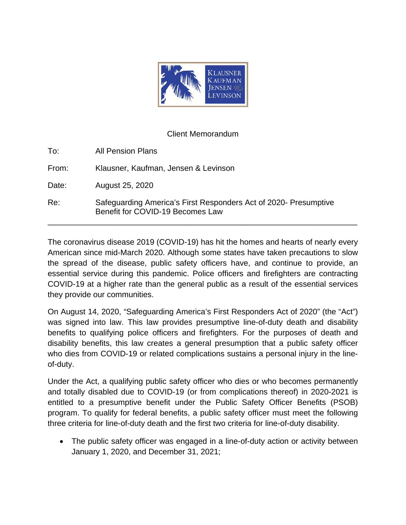

## Client Memorandum

| To:   | <b>All Pension Plans</b>                                                                             |
|-------|------------------------------------------------------------------------------------------------------|
| From: | Klausner, Kaufman, Jensen & Levinson                                                                 |
| Date: | August 25, 2020                                                                                      |
| Re:   | Safeguarding America's First Responders Act of 2020- Presumptive<br>Benefit for COVID-19 Becomes Law |

The coronavirus disease 2019 (COVID-19) has hit the homes and hearts of nearly every American since mid-March 2020. Although some states have taken precautions to slow the spread of the disease, public safety officers have, and continue to provide, an essential service during this pandemic. Police officers and firefighters are contracting COVID-19 at a higher rate than the general public as a result of the essential services they provide our communities.

On August 14, 2020, "Safeguarding America's First Responders Act of 2020" (the "Act") was signed into law. This law provides presumptive line-of-duty death and disability benefits to qualifying police officers and firefighters. For the purposes of death and disability benefits, this law creates a general presumption that a public safety officer who dies from COVID-19 or related complications sustains a personal injury in the lineof-duty.

Under the Act, a qualifying public safety officer who dies or who becomes permanently and totally disabled due to COVID-19 (or from complications thereof) in 2020-2021 is entitled to a presumptive benefit under the Public Safety Officer Benefits (PSOB) program. To qualify for federal benefits, a public safety officer must meet the following three criteria for line-of-duty death and the first two criteria for line-of-duty disability.

• The public safety officer was engaged in a line-of-duty action or activity between January 1, 2020, and December 31, 2021;